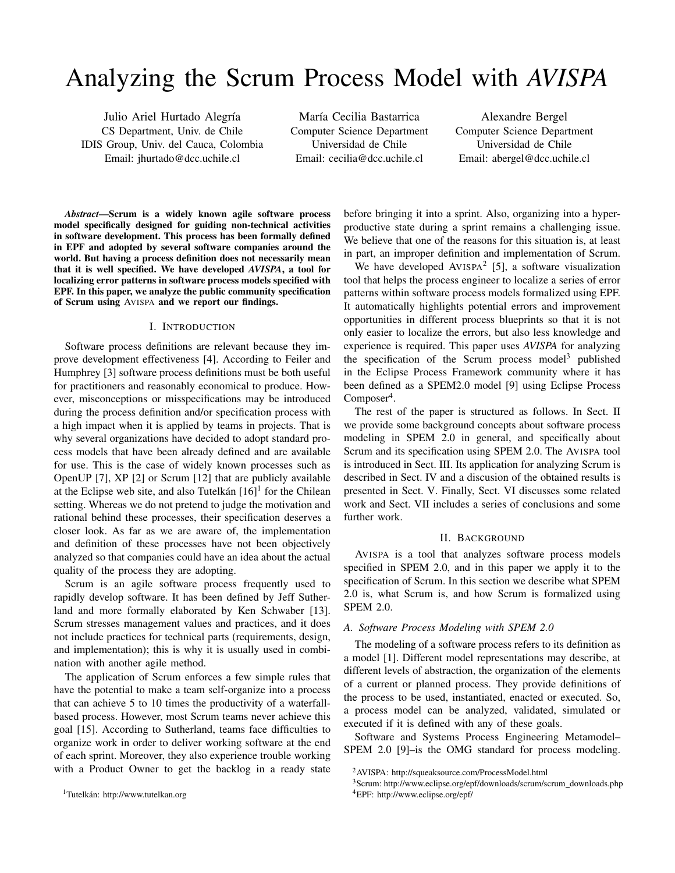# Analyzing the Scrum Process Model with *AVISPA*

Julio Ariel Hurtado Alegría CS Department, Univ. de Chile IDIS Group, Univ. del Cauca, Colombia Email: jhurtado@dcc.uchile.cl

María Cecilia Bastarrica Computer Science Department Universidad de Chile Email: cecilia@dcc.uchile.cl

Alexandre Bergel Computer Science Department Universidad de Chile Email: abergel@dcc.uchile.cl

*Abstract*—Scrum is a widely known agile software process model specifically designed for guiding non-technical activities in software development. This process has been formally defined in EPF and adopted by several software companies around the world. But having a process definition does not necessarily mean that it is well specified. We have developed *AVISPA*, a tool for localizing error patterns in software process models specified with EPF. In this paper, we analyze the public community specification of Scrum using AVISPA and we report our findings.

## I. INTRODUCTION

Software process definitions are relevant because they improve development effectiveness [4]. According to Feiler and Humphrey [3] software process definitions must be both useful for practitioners and reasonably economical to produce. However, misconceptions or misspecifications may be introduced during the process definition and/or specification process with a high impact when it is applied by teams in projects. That is why several organizations have decided to adopt standard process models that have been already defined and are available for use. This is the case of widely known processes such as OpenUP [7], XP [2] or Scrum [12] that are publicly available at the Eclipse web site, and also Tutelkán  $[16]$ <sup>1</sup> for the Chilean setting. Whereas we do not pretend to judge the motivation and rational behind these processes, their specification deserves a closer look. As far as we are aware of, the implementation and definition of these processes have not been objectively analyzed so that companies could have an idea about the actual quality of the process they are adopting.

Scrum is an agile software process frequently used to rapidly develop software. It has been defined by Jeff Sutherland and more formally elaborated by Ken Schwaber [13]. Scrum stresses management values and practices, and it does not include practices for technical parts (requirements, design, and implementation); this is why it is usually used in combination with another agile method.

The application of Scrum enforces a few simple rules that have the potential to make a team self-organize into a process that can achieve 5 to 10 times the productivity of a waterfallbased process. However, most Scrum teams never achieve this goal [15]. According to Sutherland, teams face difficulties to organize work in order to deliver working software at the end of each sprint. Moreover, they also experience trouble working with a Product Owner to get the backlog in a ready state before bringing it into a sprint. Also, organizing into a hyperproductive state during a sprint remains a challenging issue. We believe that one of the reasons for this situation is, at least in part, an improper definition and implementation of Scrum.

We have developed  $AVISPA<sup>2</sup>$  [5], a software visualization tool that helps the process engineer to localize a series of error patterns within software process models formalized using EPF. It automatically highlights potential errors and improvement opportunities in different process blueprints so that it is not only easier to localize the errors, but also less knowledge and experience is required. This paper uses *AVISPA* for analyzing the specification of the Scrum process model<sup>3</sup> published in the Eclipse Process Framework community where it has been defined as a SPEM2.0 model [9] using Eclipse Process  $Compare<sup>4</sup>$ .

The rest of the paper is structured as follows. In Sect. II we provide some background concepts about software process modeling in SPEM 2.0 in general, and specifically about Scrum and its specification using SPEM 2.0. The AVISPA tool is introduced in Sect. III. Its application for analyzing Scrum is described in Sect. IV and a discusion of the obtained results is presented in Sect. V. Finally, Sect. VI discusses some related work and Sect. VII includes a series of conclusions and some further work.

## II. BACKGROUND

AVISPA is a tool that analyzes software process models specified in SPEM 2.0, and in this paper we apply it to the specification of Scrum. In this section we describe what SPEM 2.0 is, what Scrum is, and how Scrum is formalized using SPEM 2.0.

## *A. Software Process Modeling with SPEM 2.0*

The modeling of a software process refers to its definition as a model [1]. Different model representations may describe, at different levels of abstraction, the organization of the elements of a current or planned process. They provide definitions of the process to be used, instantiated, enacted or executed. So, a process model can be analyzed, validated, simulated or executed if it is defined with any of these goals.

Software and Systems Process Engineering Metamodel– SPEM 2.0 [9]–is the OMG standard for process modeling.

<sup>&</sup>lt;sup>1</sup>Tutelkán: http://www.tutelkan.org

<sup>2</sup>AVISPA: http://squeaksource.com/ProcessModel.html

<sup>&</sup>lt;sup>3</sup>Scrum: http://www.eclipse.org/epf/downloads/scrum/scrum\_downloads.php <sup>4</sup>EPF: http://www.eclipse.org/epf/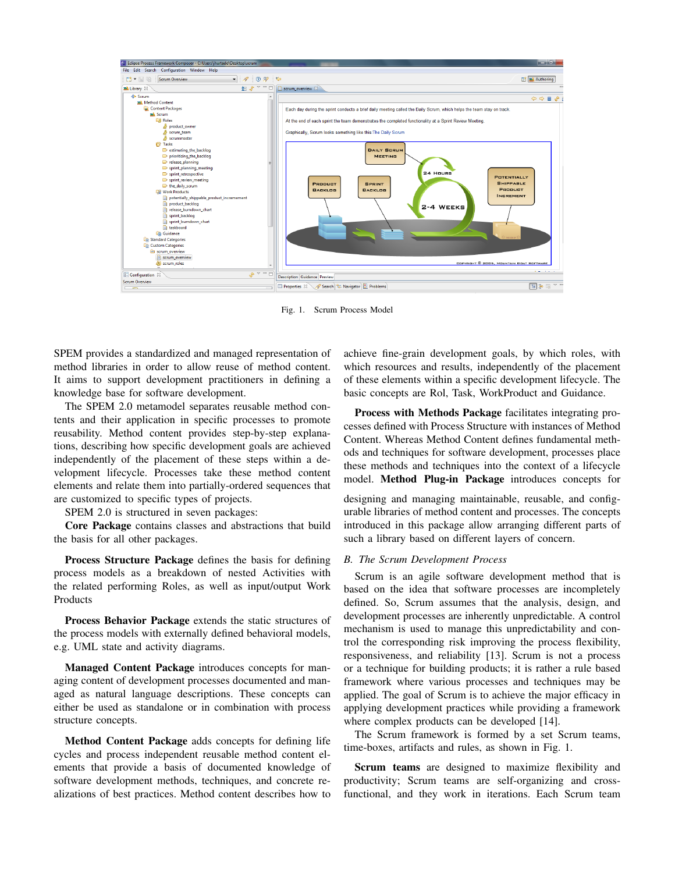

Fig. 1. Scrum Process Model

SPEM provides a standardized and managed representation of method libraries in order to allow reuse of method content. It aims to support development practitioners in defining a knowledge base for software development.

The SPEM 2.0 metamodel separates reusable method contents and their application in specific processes to promote reusability. Method content provides step-by-step explanations, describing how specific development goals are achieved independently of the placement of these steps within a development lifecycle. Processes take these method content elements and relate them into partially-ordered sequences that are customized to specific types of projects.

SPEM 2.0 is structured in seven packages:

Core Package contains classes and abstractions that build the basis for all other packages.

Process Structure Package defines the basis for defining process models as a breakdown of nested Activities with the related performing Roles, as well as input/output Work Products

Process Behavior Package extends the static structures of the process models with externally defined behavioral models, e.g. UML state and activity diagrams.

Managed Content Package introduces concepts for managing content of development processes documented and managed as natural language descriptions. These concepts can either be used as standalone or in combination with process structure concepts.

Method Content Package adds concepts for defining life cycles and process independent reusable method content elements that provide a basis of documented knowledge of software development methods, techniques, and concrete realizations of best practices. Method content describes how to

achieve fine-grain development goals, by which roles, with which resources and results, independently of the placement of these elements within a specific development lifecycle. The basic concepts are Rol, Task, WorkProduct and Guidance.

Process with Methods Package facilitates integrating processes defined with Process Structure with instances of Method Content. Whereas Method Content defines fundamental methods and techniques for software development, processes place these methods and techniques into the context of a lifecycle model. Method Plug-in Package introduces concepts for

designing and managing maintainable, reusable, and configurable libraries of method content and processes. The concepts introduced in this package allow arranging different parts of such a library based on different layers of concern.

#### *B. The Scrum Development Process*

Scrum is an agile software development method that is based on the idea that software processes are incompletely defined. So, Scrum assumes that the analysis, design, and development processes are inherently unpredictable. A control mechanism is used to manage this unpredictability and control the corresponding risk improving the process flexibility, responsiveness, and reliability [13]. Scrum is not a process or a technique for building products; it is rather a rule based framework where various processes and techniques may be applied. The goal of Scrum is to achieve the major efficacy in applying development practices while providing a framework where complex products can be developed [14].

The Scrum framework is formed by a set Scrum teams, time-boxes, artifacts and rules, as shown in Fig. 1.

Scrum teams are designed to maximize flexibility and productivity; Scrum teams are self-organizing and crossfunctional, and they work in iterations. Each Scrum team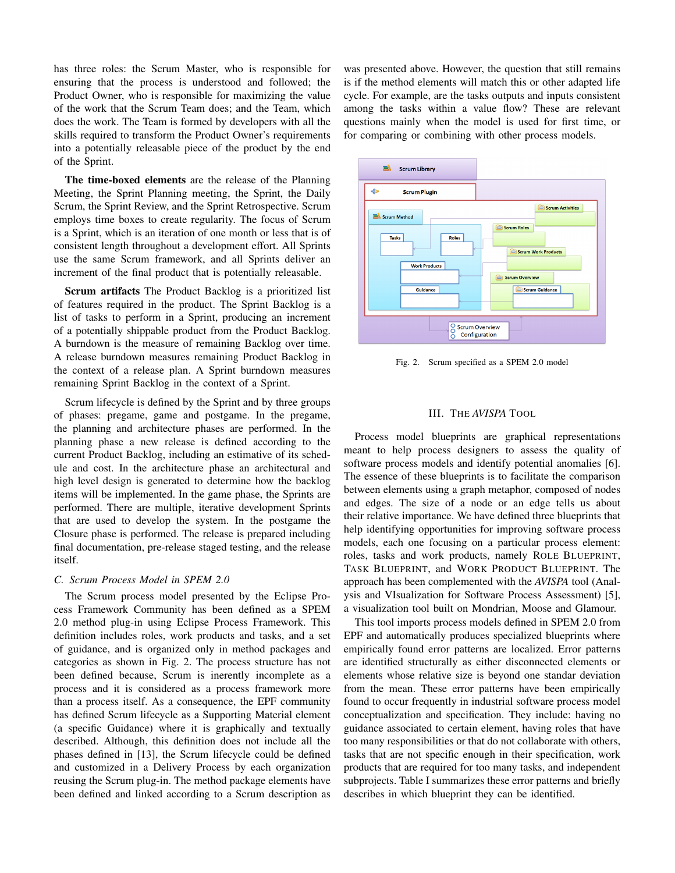has three roles: the Scrum Master, who is responsible for ensuring that the process is understood and followed; the Product Owner, who is responsible for maximizing the value of the work that the Scrum Team does; and the Team, which does the work. The Team is formed by developers with all the skills required to transform the Product Owner's requirements into a potentially releasable piece of the product by the end of the Sprint.

The time-boxed elements are the release of the Planning Meeting, the Sprint Planning meeting, the Sprint, the Daily Scrum, the Sprint Review, and the Sprint Retrospective. Scrum employs time boxes to create regularity. The focus of Scrum is a Sprint, which is an iteration of one month or less that is of consistent length throughout a development effort. All Sprints use the same Scrum framework, and all Sprints deliver an increment of the final product that is potentially releasable.

Scrum artifacts The Product Backlog is a prioritized list of features required in the product. The Sprint Backlog is a list of tasks to perform in a Sprint, producing an increment of a potentially shippable product from the Product Backlog. A burndown is the measure of remaining Backlog over time. A release burndown measures remaining Product Backlog in the context of a release plan. A Sprint burndown measures remaining Sprint Backlog in the context of a Sprint.

Scrum lifecycle is defined by the Sprint and by three groups of phases: pregame, game and postgame. In the pregame, the planning and architecture phases are performed. In the planning phase a new release is defined according to the current Product Backlog, including an estimative of its schedule and cost. In the architecture phase an architectural and high level design is generated to determine how the backlog items will be implemented. In the game phase, the Sprints are performed. There are multiple, iterative development Sprints that are used to develop the system. In the postgame the Closure phase is performed. The release is prepared including final documentation, pre-release staged testing, and the release itself.

## *C. Scrum Process Model in SPEM 2.0*

The Scrum process model presented by the Eclipse Process Framework Community has been defined as a SPEM 2.0 method plug-in using Eclipse Process Framework. This definition includes roles, work products and tasks, and a set of guidance, and is organized only in method packages and categories as shown in Fig. 2. The process structure has not been defined because, Scrum is inerently incomplete as a process and it is considered as a process framework more than a process itself. As a consequence, the EPF community has defined Scrum lifecycle as a Supporting Material element (a specific Guidance) where it is graphically and textually described. Although, this definition does not include all the phases defined in [13], the Scrum lifecycle could be defined and customized in a Delivery Process by each organization reusing the Scrum plug-in. The method package elements have been defined and linked according to a Scrum description as was presented above. However, the question that still remains is if the method elements will match this or other adapted life cycle. For example, are the tasks outputs and inputs consistent among the tasks within a value flow? These are relevant questions mainly when the model is used for first time, or for comparing or combining with other process models.



Fig. 2. Scrum specified as a SPEM 2.0 model

## III. THE *AVISPA* TOOL

Process model blueprints are graphical representations meant to help process designers to assess the quality of software process models and identify potential anomalies [6]. The essence of these blueprints is to facilitate the comparison between elements using a graph metaphor, composed of nodes and edges. The size of a node or an edge tells us about their relative importance. We have defined three blueprints that help identifying opportunities for improving software process models, each one focusing on a particular process element: roles, tasks and work products, namely ROLE BLUEPRINT, TASK BLUEPRINT, and WORK PRODUCT BLUEPRINT. The approach has been complemented with the *AVISPA* tool (Analysis and VIsualization for Software Process Assessment) [5], a visualization tool built on Mondrian, Moose and Glamour.

This tool imports process models defined in SPEM 2.0 from EPF and automatically produces specialized blueprints where empirically found error patterns are localized. Error patterns are identified structurally as either disconnected elements or elements whose relative size is beyond one standar deviation from the mean. These error patterns have been empirically found to occur frequently in industrial software process model conceptualization and specification. They include: having no guidance associated to certain element, having roles that have too many responsibilities or that do not collaborate with others, tasks that are not specific enough in their specification, work products that are required for too many tasks, and independent subprojects. Table I summarizes these error patterns and briefly describes in which blueprint they can be identified.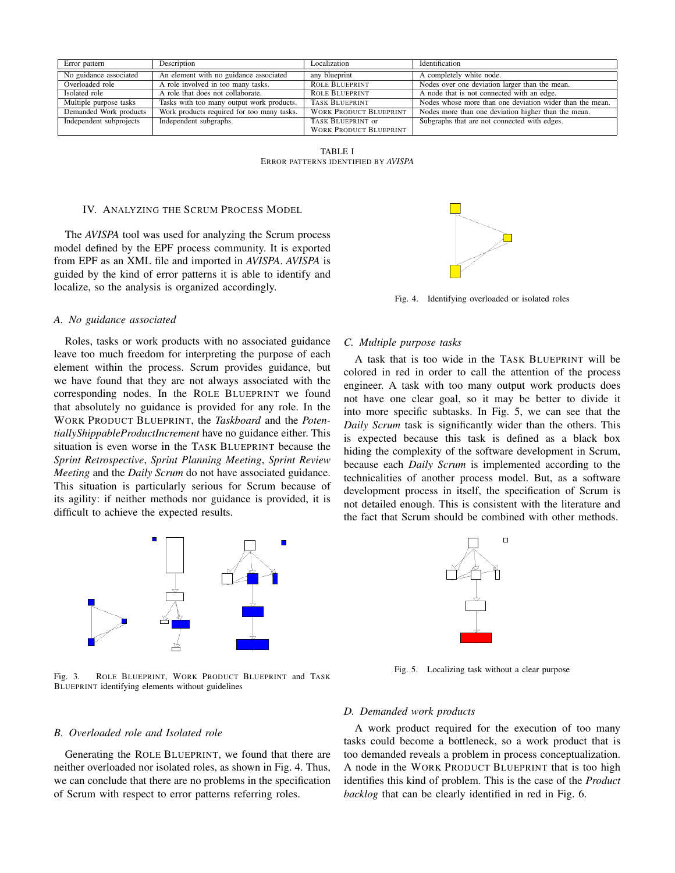| Error pattern           | Description                                | Localization                  | Identification                                           |
|-------------------------|--------------------------------------------|-------------------------------|----------------------------------------------------------|
| No guidance associated  | An element with no guidance associated     | any blueprint                 | A completely white node.                                 |
| Overloaded role         | A role involved in too many tasks.         | <b>ROLE BLUEPRINT</b>         | Nodes over one deviation larger than the mean.           |
| Isolated role           | A role that does not collaborate.          | <b>ROLE BLUEPRINT</b>         | A node that is not connected with an edge.               |
| Multiple purpose tasks  | Tasks with too many output work products.  | <b>TASK BLUEPRINT</b>         | Nodes whose more than one deviation wider than the mean. |
| Demanded Work products  | Work products required for too many tasks. | <b>WORK PRODUCT BLUEPRINT</b> | Nodes more than one deviation higher than the mean.      |
| Independent subprojects | Independent subgraphs.                     | TASK BLUEPRINT or             | Subgraphs that are not connected with edges.             |
|                         |                                            | <b>WORK PRODUCT BLUEPRINT</b> |                                                          |

TABLE I ERROR PATTERNS IDENTIFIED BY *AVISPA*

## IV. ANALYZING THE SCRUM PROCESS MODEL

The *AVISPA* tool was used for analyzing the Scrum process model defined by the EPF process community. It is exported from EPF as an XML file and imported in *AVISPA*. *AVISPA* is guided by the kind of error patterns it is able to identify and localize, so the analysis is organized accordingly.

### *A. No guidance associated*

Roles, tasks or work products with no associated guidance leave too much freedom for interpreting the purpose of each element within the process. Scrum provides guidance, but we have found that they are not always associated with the corresponding nodes. In the ROLE BLUEPRINT we found that absolutely no guidance is provided for any role. In the WORK PRODUCT BLUEPRINT, the *Taskboard* and the *PotentiallyShippableProductIncrement* have no guidance either. This situation is even worse in the TASK BLUEPRINT because the *Sprint Retrospective*, *Sprint Planning Meeting*, *Sprint Review Meeting* and the *Daily Scrum* do not have associated guidance. This situation is particularly serious for Scrum because of its agility: if neither methods nor guidance is provided, it is difficult to achieve the expected results.



Fig. 3. ROLE BLUEPRINT, WORK PRODUCT BLUEPRINT and TASK BLUEPRINT identifying elements without guidelines

#### *B. Overloaded role and Isolated role*

Generating the ROLE BLUEPRINT, we found that there are neither overloaded nor isolated roles, as shown in Fig. 4. Thus, we can conclude that there are no problems in the specification of Scrum with respect to error patterns referring roles.



A task that is too wide in the TASK BLUEPRINT will be colored in red in order to call the attention of the process engineer. A task with too many output work products does not have one clear goal, so it may be better to divide it into more specific subtasks. In Fig. 5, we can see that the *Daily Scrum* task is significantly wider than the others. This is expected because this task is defined as a black box hiding the complexity of the software development in Scrum, because each *Daily Scrum* is implemented according to the technicalities of another process model. But, as a software development process in itself, the specification of Scrum is not detailed enough. This is consistent with the literature and the fact that Scrum should be combined with other methods.

Fig. 4. Identifying overloaded or isolated roles



Fig. 5. Localizing task without a clear purpose

## *D. Demanded work products*

A work product required for the execution of too many tasks could become a bottleneck, so a work product that is too demanded reveals a problem in process conceptualization. A node in the WORK PRODUCT BLUEPRINT that is too high identifies this kind of problem. This is the case of the *Product backlog* that can be clearly identified in red in Fig. 6.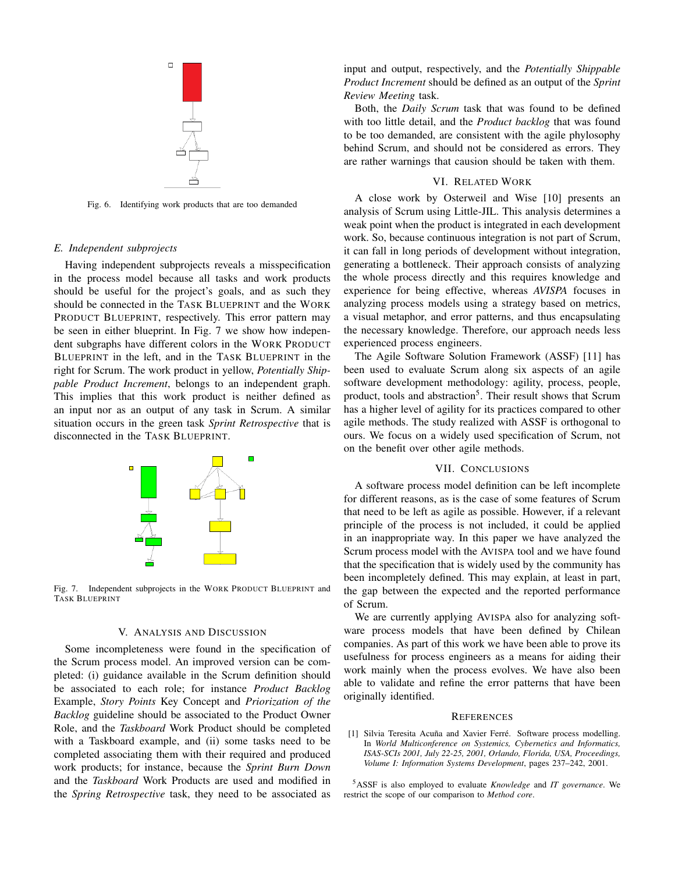

Fig. 6. Identifying work products that are too demanded

### *E. Independent subprojects*

Having independent subprojects reveals a misspecification in the process model because all tasks and work products should be useful for the project's goals, and as such they should be connected in the TASK BLUEPRINT and the WORK PRODUCT BLUEPRINT, respectively. This error pattern may be seen in either blueprint. In Fig. 7 we show how independent subgraphs have different colors in the WORK PRODUCT BLUEPRINT in the left, and in the TASK BLUEPRINT in the right for Scrum. The work product in yellow, *Potentially Shippable Product Increment*, belongs to an independent graph. This implies that this work product is neither defined as an input nor as an output of any task in Scrum. A similar situation occurs in the green task *Sprint Retrospective* that is disconnected in the TASK BLUEPRINT.



Fig. 7. Independent subprojects in the WORK PRODUCT BLUEPRINT and TASK BLUEPRINT

## V. ANALYSIS AND DISCUSSION

Some incompleteness were found in the specification of the Scrum process model. An improved version can be completed: (i) guidance available in the Scrum definition should be associated to each role; for instance *Product Backlog* Example, *Story Points* Key Concept and *Priorization of the Backlog* guideline should be associated to the Product Owner Role, and the *Taskboard* Work Product should be completed with a Taskboard example, and (ii) some tasks need to be completed associating them with their required and produced work products; for instance, because the *Sprint Burn Down* and the *Taskboard* Work Products are used and modified in the *Spring Retrospective* task, they need to be associated as input and output, respectively, and the *Potentially Shippable Product Increment* should be defined as an output of the *Sprint Review Meeting* task.

Both, the *Daily Scrum* task that was found to be defined with too little detail, and the *Product backlog* that was found to be too demanded, are consistent with the agile phylosophy behind Scrum, and should not be considered as errors. They are rather warnings that causion should be taken with them.

## VI. RELATED WORK

A close work by Osterweil and Wise [10] presents an analysis of Scrum using Little-JIL. This analysis determines a weak point when the product is integrated in each development work. So, because continuous integration is not part of Scrum, it can fall in long periods of development without integration, generating a bottleneck. Their approach consists of analyzing the whole process directly and this requires knowledge and experience for being effective, whereas *AVISPA* focuses in analyzing process models using a strategy based on metrics, a visual metaphor, and error patterns, and thus encapsulating the necessary knowledge. Therefore, our approach needs less experienced process engineers.

The Agile Software Solution Framework (ASSF) [11] has been used to evaluate Scrum along six aspects of an agile software development methodology: agility, process, people, product, tools and abstraction<sup>5</sup>. Their result shows that Scrum has a higher level of agility for its practices compared to other agile methods. The study realized with ASSF is orthogonal to ours. We focus on a widely used specification of Scrum, not on the benefit over other agile methods.

#### VII. CONCLUSIONS

A software process model definition can be left incomplete for different reasons, as is the case of some features of Scrum that need to be left as agile as possible. However, if a relevant principle of the process is not included, it could be applied in an inappropriate way. In this paper we have analyzed the Scrum process model with the AVISPA tool and we have found that the specification that is widely used by the community has been incompletely defined. This may explain, at least in part, the gap between the expected and the reported performance of Scrum.

We are currently applying AVISPA also for analyzing software process models that have been defined by Chilean companies. As part of this work we have been able to prove its usefulness for process engineers as a means for aiding their work mainly when the process evolves. We have also been able to validate and refine the error patterns that have been originally identified.

#### **REFERENCES**

[1] Silvia Teresita Acuña and Xavier Ferré. Software process modelling. In *World Multiconference on Systemics, Cybernetics and Informatics, ISAS-SCIs 2001, July 22-25, 2001, Orlando, Florida, USA, Proceedings, Volume I: Information Systems Development*, pages 237–242, 2001.

<sup>5</sup>ASSF is also employed to evaluate *Knowledge* and *IT governance*. We restrict the scope of our comparison to *Method core*.